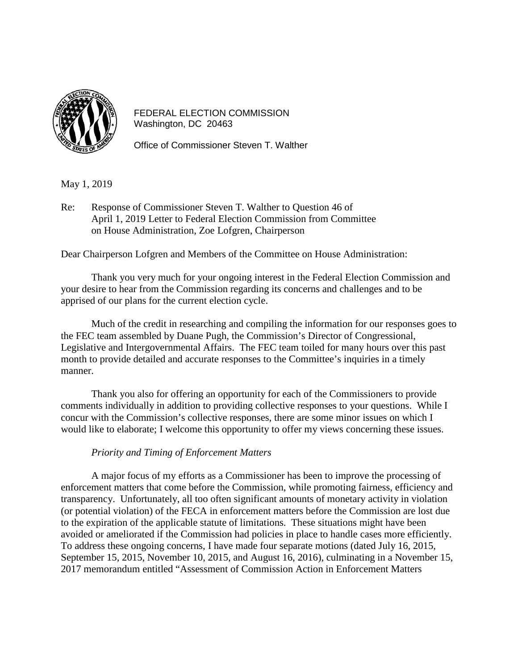

FEDERAL ELECTION COMMISSION Washington, DC 20463

Office of Commissioner Steven T. Walther

May 1, 2019

Re: Response of Commissioner Steven T. Walther to Question 46 of April 1, 2019 Letter to Federal Election Commission from Committee on House Administration, Zoe Lofgren, Chairperson

Dear Chairperson Lofgren and Members of the Committee on House Administration:

Thank you very much for your ongoing interest in the Federal Election Commission and your desire to hear from the Commission regarding its concerns and challenges and to be apprised of our plans for the current election cycle.

Much of the credit in researching and compiling the information for our responses goes to the FEC team assembled by Duane Pugh, the Commission's Director of Congressional, Legislative and Intergovernmental Affairs. The FEC team toiled for many hours over this past month to provide detailed and accurate responses to the Committee's inquiries in a timely manner.

Thank you also for offering an opportunity for each of the Commissioners to provide comments individually in addition to providing collective responses to your questions. While I concur with the Commission's collective responses, there are some minor issues on which I would like to elaborate; I welcome this opportunity to offer my views concerning these issues.

## *Priority and Timing of Enforcement Matters*

A major focus of my efforts as a Commissioner has been to improve the processing of enforcement matters that come before the Commission, while promoting fairness, efficiency and transparency. Unfortunately, all too often significant amounts of monetary activity in violation (or potential violation) of the FECA in enforcement matters before the Commission are lost due to the expiration of the applicable statute of limitations. These situations might have been avoided or ameliorated if the Commission had policies in place to handle cases more efficiently. To address these ongoing concerns, I have made four separate motions (dated July 16, 2015, September 15, 2015, November 10, 2015, and August 16, 2016), culminating in a November 15, 2017 memorandum entitled "Assessment of Commission Action in Enforcement Matters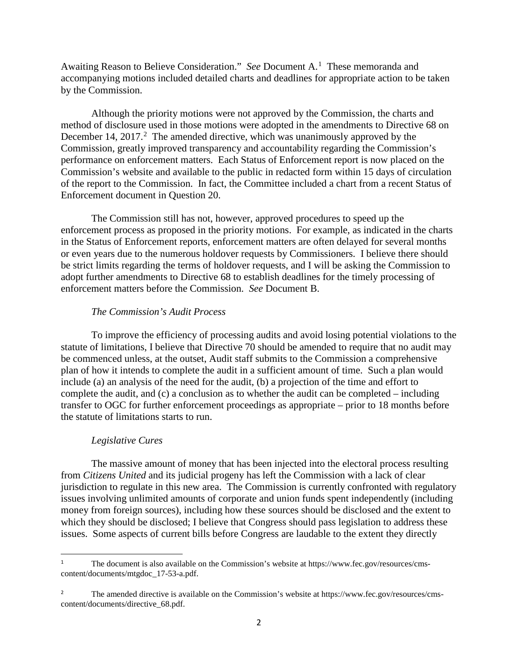Awaiting Reason to Believe Consideration." *See* Document A. [1](#page-1-0) These memoranda and accompanying motions included detailed charts and deadlines for appropriate action to be taken by the Commission.

Although the priority motions were not approved by the Commission, the charts and method of disclosure used in those motions were adopted in the amendments to Directive 68 on December 14, [2](#page-1-1)017.<sup>2</sup> The amended directive, which was unanimously approved by the Commission, greatly improved transparency and accountability regarding the Commission's performance on enforcement matters. Each Status of Enforcement report is now placed on the Commission's website and available to the public in redacted form within 15 days of circulation of the report to the Commission. In fact, the Committee included a chart from a recent Status of Enforcement document in Question 20.

The Commission still has not, however, approved procedures to speed up the enforcement process as proposed in the priority motions. For example, as indicated in the charts in the Status of Enforcement reports, enforcement matters are often delayed for several months or even years due to the numerous holdover requests by Commissioners. I believe there should be strict limits regarding the terms of holdover requests, and I will be asking the Commission to adopt further amendments to Directive 68 to establish deadlines for the timely processing of enforcement matters before the Commission. *See* Document B.

## *The Commission's Audit Process*

To improve the efficiency of processing audits and avoid losing potential violations to the statute of limitations, I believe that Directive 70 should be amended to require that no audit may be commenced unless, at the outset, Audit staff submits to the Commission a comprehensive plan of how it intends to complete the audit in a sufficient amount of time. Such a plan would include (a) an analysis of the need for the audit, (b) a projection of the time and effort to complete the audit, and (c) a conclusion as to whether the audit can be completed – including transfer to OGC for further enforcement proceedings as appropriate – prior to 18 months before the statute of limitations starts to run.

## *Legislative Cures*

The massive amount of money that has been injected into the electoral process resulting from *Citizens United* and its judicial progeny has left the Commission with a lack of clear jurisdiction to regulate in this new area. The Commission is currently confronted with regulatory issues involving unlimited amounts of corporate and union funds spent independently (including money from foreign sources), including how these sources should be disclosed and the extent to which they should be disclosed; I believe that Congress should pass legislation to address these issues. Some aspects of current bills before Congress are laudable to the extent they directly

<span id="page-1-0"></span><sup>&</sup>lt;sup>1</sup> The document is also available on the Commission's website a[t https://www.fec.gov/resources/cms](https://www.fec.gov/resources/cms-content/documents/mtgdoc_17-53-a.pdf)[content/documents/mtgdoc\\_17-53-a.pdf.](https://www.fec.gov/resources/cms-content/documents/mtgdoc_17-53-a.pdf)

<span id="page-1-1"></span><sup>&</sup>lt;sup>2</sup> The amended directive is available on the Commission's website at [https://www.fec.gov/resources/cms](https://www.fec.gov/resources/cms-content/documents/directive_68.pdf)[content/documents/directive\\_68.pdf.](https://www.fec.gov/resources/cms-content/documents/directive_68.pdf)